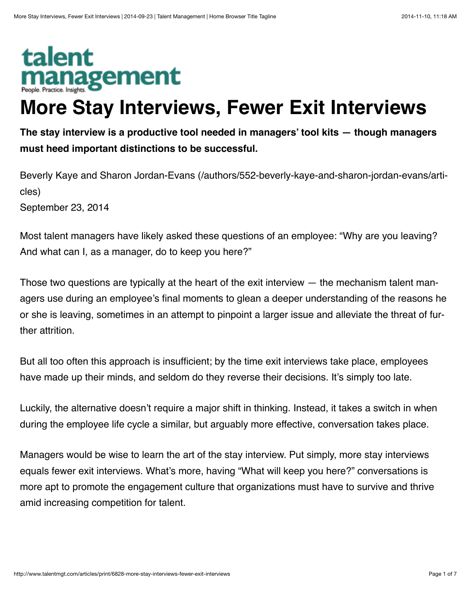## talent management

## **More Stay Interviews, Fewer Exit Interviews**

**The stay interview is a productive tool needed in managers' tool kits — though managers must heed important distinctions to be successful.**

[Beverly Kaye and Sharon Jordan-Evans \(/authors/552-beverly-kaye-and-sharon-jordan-evans/arti](http://www.talentmgt.com/authors/552-beverly-kaye-and-sharon-jordan-evans/articles)‐ cles)

September 23, 2014

Most talent managers have likely asked these questions of an employee: "Why are you leaving? And what can I, as a manager, do to keep you here?"

Those two questions are typically at the heart of the exit interview — the mechanism talent man‐ agers use during an employee's final moments to glean a deeper understanding of the reasons he or she is leaving, sometimes in an attempt to pinpoint a larger issue and alleviate the threat of fur‐ ther attrition.

But all too often this approach is insufficient; by the time exit interviews take place, employees have made up their minds, and seldom do they reverse their decisions. It's simply too late.

Luckily, the alternative doesn't require a major shift in thinking. Instead, it takes a switch in when during the employee life cycle a similar, but arguably more effective, conversation takes place.

Managers would be wise to learn the art of the stay interview. Put simply, more stay interviews equals fewer exit interviews. What's more, having "What will keep you here?" conversations is more apt to promote the engagement culture that organizations must have to survive and thrive amid increasing competition for talent.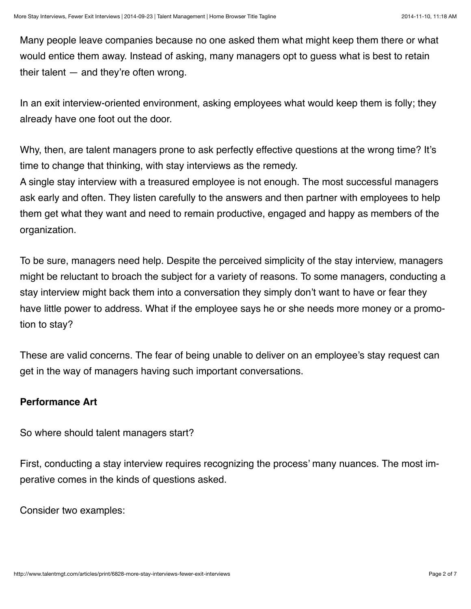Many people leave companies because no one asked them what might keep them there or what would entice them away. Instead of asking, many managers opt to guess what is best to retain their talent — and they're often wrong.

In an exit interview-oriented environment, asking employees what would keep them is folly; they already have one foot out the door.

Why, then, are talent managers prone to ask perfectly effective questions at the wrong time? It's time to change that thinking, with stay interviews as the remedy.

A single stay interview with a treasured employee is not enough. The most successful managers ask early and often. They listen carefully to the answers and then partner with employees to help them get what they want and need to remain productive, engaged and happy as members of the organization.

To be sure, managers need help. Despite the perceived simplicity of the stay interview, managers might be reluctant to broach the subject for a variety of reasons. To some managers, conducting a stay interview might back them into a conversation they simply don't want to have or fear they have little power to address. What if the employee says he or she needs more money or a promotion to stay?

These are valid concerns. The fear of being unable to deliver on an employee's stay request can get in the way of managers having such important conversations.

## **Performance Art**

So where should talent managers start?

First, conducting a stay interview requires recognizing the process' many nuances. The most im‐ perative comes in the kinds of questions asked.

Consider two examples: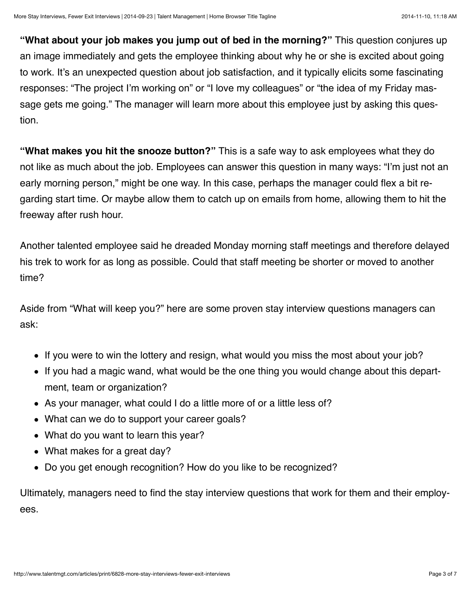**"What about your job makes you jump out of bed in the morning?"** This question conjures up an image immediately and gets the employee thinking about why he or she is excited about going to work. It's an unexpected question about job satisfaction, and it typically elicits some fascinating responses: "The project I'm working on" or "I love my colleagues" or "the idea of my Friday mas‐ sage gets me going." The manager will learn more about this employee just by asking this question.

**"What makes you hit the snooze button?"** This is a safe way to ask employees what they do not like as much about the job. Employees can answer this question in many ways: "I'm just not an early morning person," might be one way. In this case, perhaps the manager could flex a bit re‐ garding start time. Or maybe allow them to catch up on emails from home, allowing them to hit the freeway after rush hour.

Another talented employee said he dreaded Monday morning staff meetings and therefore delayed his trek to work for as long as possible. Could that staff meeting be shorter or moved to another time?

Aside from "What will keep you?" here are some proven stay interview questions managers can ask:

- If you were to win the lottery and resign, what would you miss the most about your job?
- If you had a magic wand, what would be the one thing you would change about this department, team or organization?
- As your manager, what could I do a little more of or a little less of?
- What can we do to support your career goals?
- What do you want to learn this year?
- What makes for a great day?
- Do you get enough recognition? How do you like to be recognized?

Ultimately, managers need to find the stay interview questions that work for them and their employ‐ ees.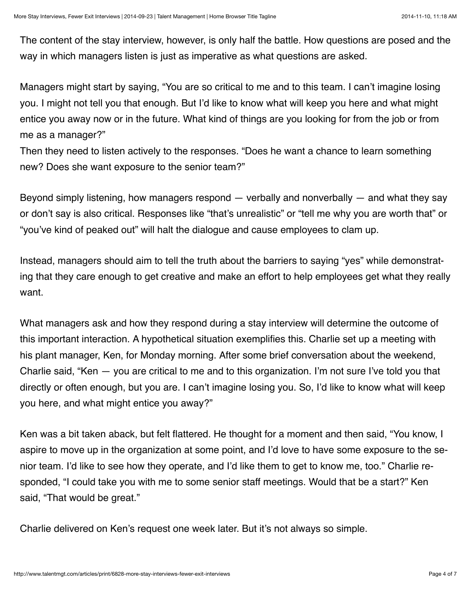The content of the stay interview, however, is only half the battle. How questions are posed and the way in which managers listen is just as imperative as what questions are asked.

Managers might start by saying, "You are so critical to me and to this team. I can't imagine losing you. I might not tell you that enough. But I'd like to know what will keep you here and what might entice you away now or in the future. What kind of things are you looking for from the job or from me as a manager?"

Then they need to listen actively to the responses. "Does he want a chance to learn something new? Does she want exposure to the senior team?"

Beyond simply listening, how managers respond — verbally and nonverbally — and what they say or don't say is also critical. Responses like "that's unrealistic" or "tell me why you are worth that" or "you've kind of peaked out" will halt the dialogue and cause employees to clam up.

Instead, managers should aim to tell the truth about the barriers to saying "yes" while demonstrat‐ ing that they care enough to get creative and make an effort to help employees get what they really want.

What managers ask and how they respond during a stay interview will determine the outcome of this important interaction. A hypothetical situation exemplifies this. Charlie set up a meeting with his plant manager, Ken, for Monday morning. After some brief conversation about the weekend, Charlie said, "Ken — you are critical to me and to this organization. I'm not sure I've told you that directly or often enough, but you are. I can't imagine losing you. So, I'd like to know what will keep you here, and what might entice you away?"

Ken was a bit taken aback, but felt flattered. He thought for a moment and then said, "You know, I aspire to move up in the organization at some point, and I'd love to have some exposure to the se‐ nior team. I'd like to see how they operate, and I'd like them to get to know me, too." Charlie re‐ sponded, "I could take you with me to some senior staff meetings. Would that be a start?" Ken said, "That would be great."

Charlie delivered on Ken's request one week later. But it's not always so simple.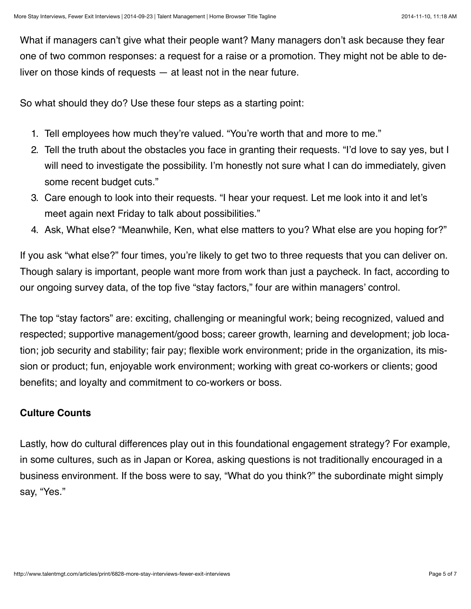What if managers can't give what their people want? Many managers don't ask because they fear one of two common responses: a request for a raise or a promotion. They might not be able to de‐ liver on those kinds of requests — at least not in the near future.

So what should they do? Use these four steps as a starting point:

- 1. Tell employees how much they're valued. "You're worth that and more to me."
- 2. Tell the truth about the obstacles you face in granting their requests. "I'd love to say yes, but I will need to investigate the possibility. I'm honestly not sure what I can do immediately, given some recent budget cuts."
- 3. Care enough to look into their requests. "I hear your request. Let me look into it and let's meet again next Friday to talk about possibilities."
- 4. Ask, What else? "Meanwhile, Ken, what else matters to you? What else are you hoping for?"

If you ask "what else?" four times, you're likely to get two to three requests that you can deliver on. Though salary is important, people want more from work than just a paycheck. In fact, according to our ongoing survey data, of the top five "stay factors," four are within managers' control.

The top "stay factors" are: exciting, challenging or meaningful work; being recognized, valued and respected; supportive management/good boss; career growth, learning and development; job loca‐ tion; job security and stability; fair pay; flexible work environment; pride in the organization, its mis‐ sion or product; fun, enjoyable work environment; working with great co-workers or clients; good benefits; and loyalty and commitment to co-workers or boss.

## **Culture Counts**

Lastly, how do cultural differences play out in this foundational engagement strategy? For example, in some cultures, such as in Japan or Korea, asking questions is not traditionally encouraged in a business environment. If the boss were to say, "What do you think?" the subordinate might simply say, "Yes."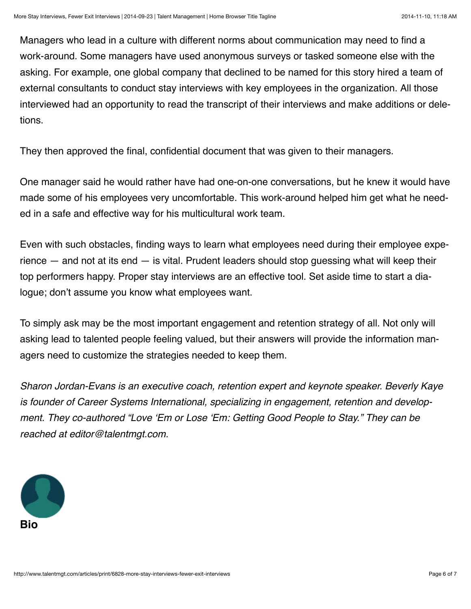Managers who lead in a culture with different norms about communication may need to find a work-around. Some managers have used anonymous surveys or tasked someone else with the asking. For example, one global company that declined to be named for this story hired a team of external consultants to conduct stay interviews with key employees in the organization. All those interviewed had an opportunity to read the transcript of their interviews and make additions or dele‐ tions.

They then approved the final, confidential document that was given to their managers.

One manager said he would rather have had one-on-one conversations, but he knew it would have made some of his employees very uncomfortable. This work-around helped him get what he need‐ ed in a safe and effective way for his multicultural work team.

Even with such obstacles, finding ways to learn what employees need during their employee expe‐ rience  $-$  and not at its end  $-$  is vital. Prudent leaders should stop guessing what will keep their top performers happy. Proper stay interviews are an effective tool. Set aside time to start a dia‐ logue; don't assume you know what employees want.

To simply ask may be the most important engagement and retention strategy of all. Not only will asking lead to talented people feeling valued, but their answers will provide the information man‐ agers need to customize the strategies needed to keep them.

*Sharon Jordan-Evans is an executive coach, retention expert and keynote speaker. Beverly Kaye is founder of Career Systems International, specializing in engagement, retention and develop*‐ *ment. They co-authored "Love 'Em or Lose 'Em: Getting Good People to Stay." They can be reached at editor@talentmgt.com.*